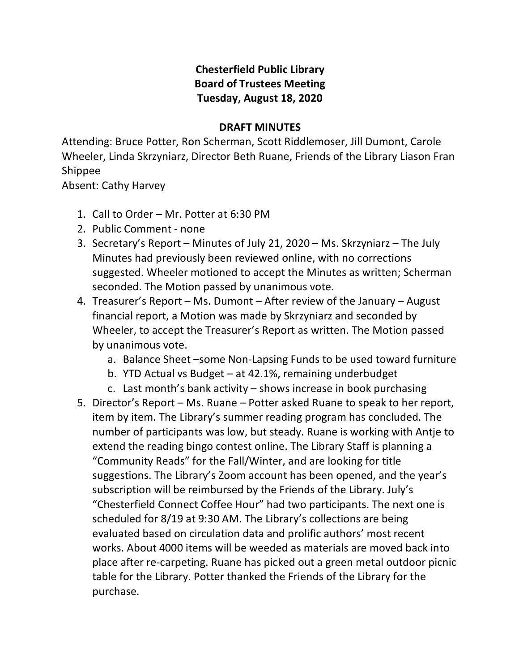## **Chesterfield Public Library Board of Trustees Meeting Tuesday, August 18, 2020**

## **DRAFT MINUTES**

Attending: Bruce Potter, Ron Scherman, Scott Riddlemoser, Jill Dumont, Carole Wheeler, Linda Skrzyniarz, Director Beth Ruane, Friends of the Library Liason Fran Shippee

Absent: Cathy Harvey

- 1. Call to Order Mr. Potter at 6:30 PM
- 2. Public Comment none
- 3. Secretary's Report Minutes of July 21, 2020 Ms. Skrzyniarz The July Minutes had previously been reviewed online, with no corrections suggested. Wheeler motioned to accept the Minutes as written; Scherman seconded. The Motion passed by unanimous vote.
- 4. Treasurer's Report Ms. Dumont After review of the January August financial report, a Motion was made by Skrzyniarz and seconded by Wheeler, to accept the Treasurer's Report as written. The Motion passed by unanimous vote.
	- a. Balance Sheet –some Non-Lapsing Funds to be used toward furniture
	- b. YTD Actual vs Budget at 42.1%, remaining underbudget
	- c. Last month's bank activity shows increase in book purchasing
- 5. Director's Report Ms. Ruane Potter asked Ruane to speak to her report, item by item. The Library's summer reading program has concluded. The number of participants was low, but steady. Ruane is working with Antje to extend the reading bingo contest online. The Library Staff is planning a "Community Reads" for the Fall/Winter, and are looking for title suggestions. The Library's Zoom account has been opened, and the year's subscription will be reimbursed by the Friends of the Library. July's "Chesterfield Connect Coffee Hour" had two participants. The next one is scheduled for 8/19 at 9:30 AM. The Library's collections are being evaluated based on circulation data and prolific authors' most recent works. About 4000 items will be weeded as materials are moved back into place after re-carpeting. Ruane has picked out a green metal outdoor picnic table for the Library. Potter thanked the Friends of the Library for the purchase.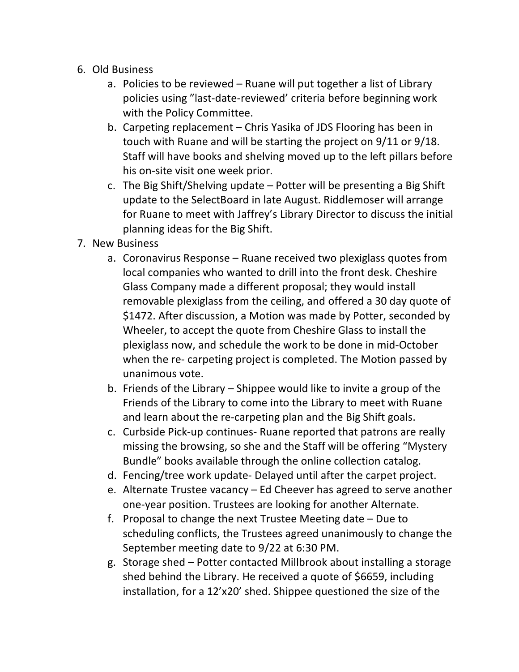- 6. Old Business
	- a. Policies to be reviewed Ruane will put together a list of Library policies using "last-date-reviewed' criteria before beginning work with the Policy Committee.
	- b. Carpeting replacement Chris Yasika of JDS Flooring has been in touch with Ruane and will be starting the project on 9/11 or 9/18. Staff will have books and shelving moved up to the left pillars before his on-site visit one week prior.
	- c. The Big Shift/Shelving update Potter will be presenting a Big Shift update to the SelectBoard in late August. Riddlemoser will arrange for Ruane to meet with Jaffrey's Library Director to discuss the initial planning ideas for the Big Shift.
- 7. New Business
	- a. Coronavirus Response Ruane received two plexiglass quotes from local companies who wanted to drill into the front desk. Cheshire Glass Company made a different proposal; they would install removable plexiglass from the ceiling, and offered a 30 day quote of \$1472. After discussion, a Motion was made by Potter, seconded by Wheeler, to accept the quote from Cheshire Glass to install the plexiglass now, and schedule the work to be done in mid-October when the re- carpeting project is completed. The Motion passed by unanimous vote.
	- b. Friends of the Library Shippee would like to invite a group of the Friends of the Library to come into the Library to meet with Ruane and learn about the re-carpeting plan and the Big Shift goals.
	- c. Curbside Pick-up continues- Ruane reported that patrons are really missing the browsing, so she and the Staff will be offering "Mystery Bundle" books available through the online collection catalog.
	- d. Fencing/tree work update- Delayed until after the carpet project.
	- e. Alternate Trustee vacancy Ed Cheever has agreed to serve another one-year position. Trustees are looking for another Alternate.
	- f. Proposal to change the next Trustee Meeting date Due to scheduling conflicts, the Trustees agreed unanimously to change the September meeting date to 9/22 at 6:30 PM.
	- g. Storage shed Potter contacted Millbrook about installing a storage shed behind the Library. He received a quote of \$6659, including installation, for a 12'x20' shed. Shippee questioned the size of the